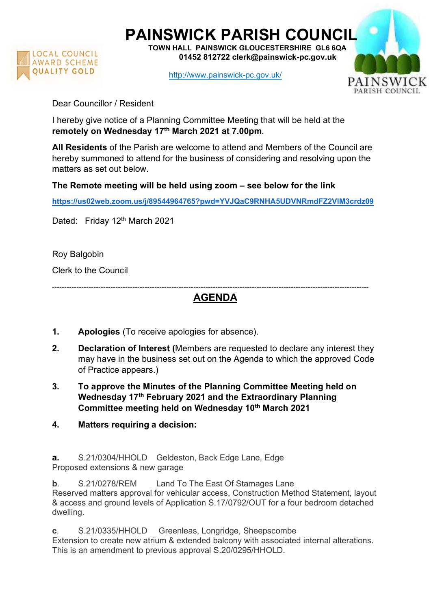

PAINSWICK PARISH COUNCIL TOWN HALL PAINSWICK GLOUCESTERSHIRE GL6 6QA

LOCAL COUNCIL **COUNCIL**<br>AWARD SCHEME **01452 812722 clerk@painswick-pc.gov.uk** 

http://www.painswick-pc.gov.uk/



Dear Councillor / Resident

I hereby give notice of a Planning Committee Meeting that will be held at the remotely on Wednesday 17th March 2021 at 7.00pm.

All Residents of the Parish are welcome to attend and Members of the Council are hereby summoned to attend for the business of considering and resolving upon the matters as set out below.

The Remote meeting will be held using zoom – see below for the link

https://us02web.zoom.us/j/89544964765?pwd=YVJQaC9RNHA5UDVNRmdFZ2VlM3crdz09

Dated: Friday 12<sup>th</sup> March 2021

Roy Balgobin

Clerk to the Council

----------------------------------------------------------------------------------------------------------------------------------

AGENDA

- 1. Apologies (To receive apologies for absence).
- 2. Declaration of Interest (Members are requested to declare any interest they may have in the business set out on the Agenda to which the approved Code of Practice appears.)
- 3. To approve the Minutes of the Planning Committee Meeting held on Wednesday 17<sup>th</sup> February 2021 and the Extraordinary Planning Committee meeting held on Wednesday 10<sup>th</sup> March 2021
- 4. Matters requiring a decision:

a. S.21/0304/HHOLD Geldeston, Back Edge Lane, Edge Proposed extensions & new garage

b. S.21/0278/REM Land To The East Of Stamages Lane Reserved matters approval for vehicular access, Construction Method Statement, layout & access and ground levels of Application S.17/0792/OUT for a four bedroom detached dwelling.

c. S.21/0335/HHOLD Greenleas, Longridge, Sheepscombe Extension to create new atrium & extended balcony with associated internal alterations. This is an amendment to previous approval S.20/0295/HHOLD.